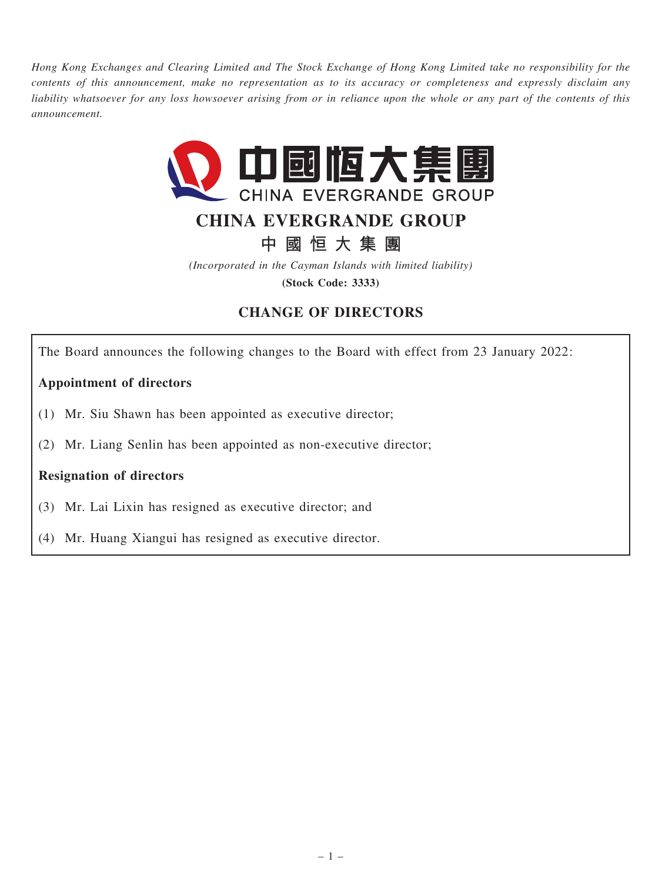Hong Kong Exchanges and Clearing Limited and The Stock Exchange of Hong Kong Limited take no responsibility for the contents of this announcement, make no representation as to its accuracy or completeness and expressly disclaim any liability whatsoever for any loss howsoever arising from or in reliance upon the whole or any part of the contents of this announcement.



# CHINA EVERGRANDE GROUP

中 國 恒 大 集 團

(Incorporated in the Cayman Islands with limited liability) (Stock Code: 3333)

# CHANGE OF DIRECTORS

The Board announces the following changes to the Board with effect from 23 January 2022:

## Appointment of directors

- (1) Mr. Siu Shawn has been appointed as executive director;
- (2) Mr. Liang Senlin has been appointed as non-executive director;

#### Resignation of directors

- (3) Mr. Lai Lixin has resigned as executive director; and
- (4) Mr. Huang Xiangui has resigned as executive director.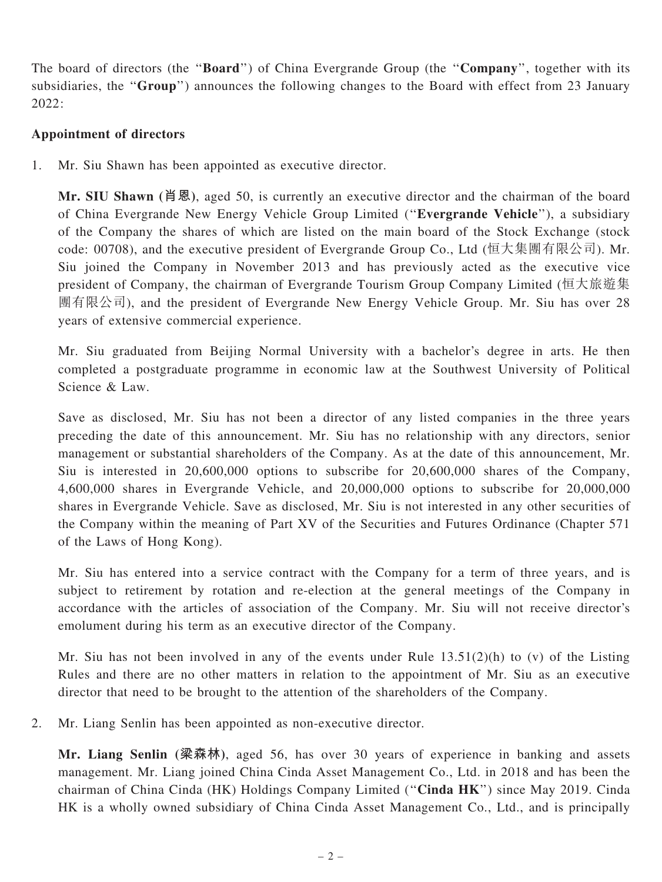The board of directors (the "**Board**") of China Evergrande Group (the "Company", together with its subsidiaries, the "Group") announces the following changes to the Board with effect from 23 January  $2022$ 

### Appointment of directors

1. Mr. Siu Shawn has been appointed as executive director.

Mr. SIU Shawn (肖恩), aged 50, is currently an executive director and the chairman of the board of China Evergrande New Energy Vehicle Group Limited (''Evergrande Vehicle''), a subsidiary of the Company the shares of which are listed on the main board of the Stock Exchange (stock code: 00708), and the executive president of Evergrande Group Co., Ltd (恒大集團有限公司). Mr. Siu joined the Company in November 2013 and has previously acted as the executive vice president of Company, the chairman of Evergrande Tourism Group Company Limited (恒大旅遊集 團有限公司), and the president of Evergrande New Energy Vehicle Group. Mr. Siu has over 28 years of extensive commercial experience.

Mr. Siu graduated from Beijing Normal University with a bachelor's degree in arts. He then completed a postgraduate programme in economic law at the Southwest University of Political Science & Law.

Save as disclosed, Mr. Siu has not been a director of any listed companies in the three years preceding the date of this announcement. Mr. Siu has no relationship with any directors, senior management or substantial shareholders of the Company. As at the date of this announcement, Mr. Siu is interested in 20,600,000 options to subscribe for 20,600,000 shares of the Company, 4,600,000 shares in Evergrande Vehicle, and 20,000,000 options to subscribe for 20,000,000 shares in Evergrande Vehicle. Save as disclosed, Mr. Siu is not interested in any other securities of the Company within the meaning of Part XV of the Securities and Futures Ordinance (Chapter 571 of the Laws of Hong Kong).

Mr. Siu has entered into a service contract with the Company for a term of three years, and is subject to retirement by rotation and re-election at the general meetings of the Company in accordance with the articles of association of the Company. Mr. Siu will not receive director's emolument during his term as an executive director of the Company.

Mr. Siu has not been involved in any of the events under Rule 13.51(2)(h) to (v) of the Listing Rules and there are no other matters in relation to the appointment of Mr. Siu as an executive director that need to be brought to the attention of the shareholders of the Company.

2. Mr. Liang Senlin has been appointed as non-executive director.

Mr. Liang Senlin (梁森林), aged 56, has over 30 years of experience in banking and assets management. Mr. Liang joined China Cinda Asset Management Co., Ltd. in 2018 and has been the chairman of China Cinda (HK) Holdings Company Limited (''Cinda HK'') since May 2019. Cinda HK is a wholly owned subsidiary of China Cinda Asset Management Co., Ltd., and is principally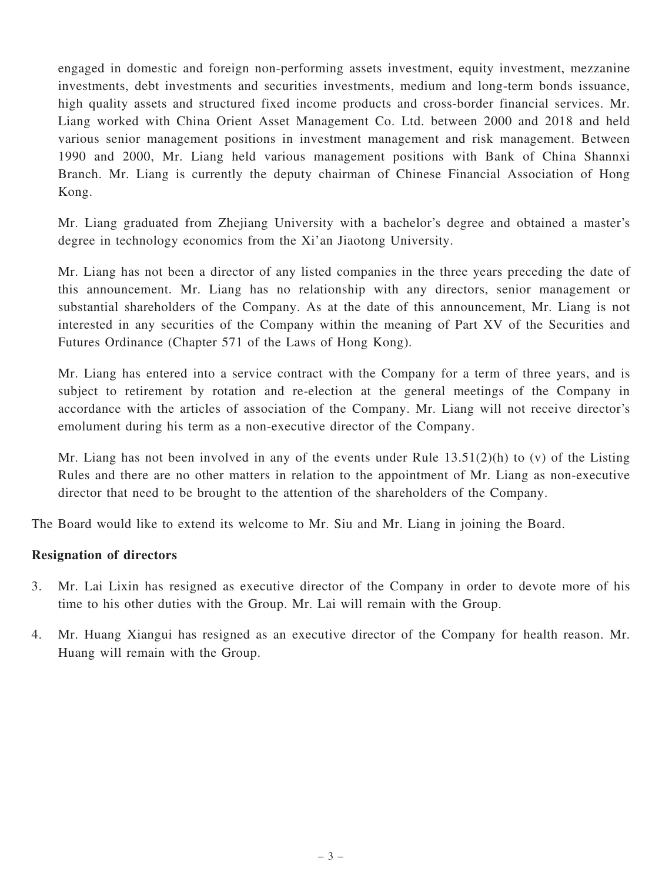engaged in domestic and foreign non-performing assets investment, equity investment, mezzanine investments, debt investments and securities investments, medium and long-term bonds issuance, high quality assets and structured fixed income products and cross-border financial services. Mr. Liang worked with China Orient Asset Management Co. Ltd. between 2000 and 2018 and held various senior management positions in investment management and risk management. Between 1990 and 2000, Mr. Liang held various management positions with Bank of China Shannxi Branch. Mr. Liang is currently the deputy chairman of Chinese Financial Association of Hong Kong.

Mr. Liang graduated from Zhejiang University with a bachelor's degree and obtained a master's degree in technology economics from the Xi'an Jiaotong University.

Mr. Liang has not been a director of any listed companies in the three years preceding the date of this announcement. Mr. Liang has no relationship with any directors, senior management or substantial shareholders of the Company. As at the date of this announcement, Mr. Liang is not interested in any securities of the Company within the meaning of Part XV of the Securities and Futures Ordinance (Chapter 571 of the Laws of Hong Kong).

Mr. Liang has entered into a service contract with the Company for a term of three years, and is subject to retirement by rotation and re-election at the general meetings of the Company in accordance with the articles of association of the Company. Mr. Liang will not receive director's emolument during his term as a non-executive director of the Company.

Mr. Liang has not been involved in any of the events under Rule  $13.51(2)(h)$  to (v) of the Listing Rules and there are no other matters in relation to the appointment of Mr. Liang as non-executive director that need to be brought to the attention of the shareholders of the Company.

The Board would like to extend its welcome to Mr. Siu and Mr. Liang in joining the Board.

#### Resignation of directors

- 3. Mr. Lai Lixin has resigned as executive director of the Company in order to devote more of his time to his other duties with the Group. Mr. Lai will remain with the Group.
- 4. Mr. Huang Xiangui has resigned as an executive director of the Company for health reason. Mr. Huang will remain with the Group.